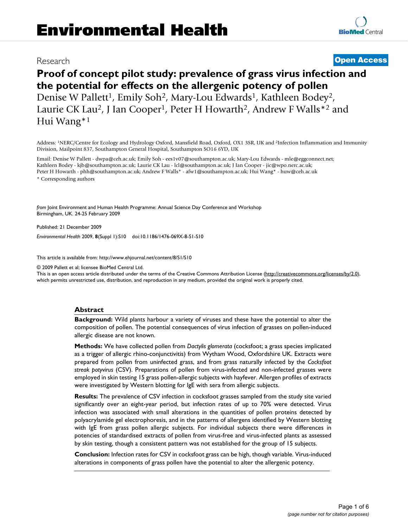## Research **[Open Access](http://www.biomedcentral.com/info/about/charter/)**

# **Proof of concept pilot study: prevalence of grass virus infection and the potential for effects on the allergenic potency of pollen** Denise W Pallett<sup>1</sup>, Emily Soh<sup>2</sup>, Mary-Lou Edwards<sup>1</sup>, Kathleen Bodey<sup>2</sup>, Laurie CK Lau<sup>2</sup>, J Ian Cooper<sup>1</sup>, Peter H Howarth<sup>2</sup>, Andrew F Walls<sup>\*2</sup> and Hui Wang\*1

Address: 1NERC/Centre for Ecology and Hydrology Oxford, Mansfield Road, Oxford, OX1 3SR, UK and 2Infection Inflammation and Immunity Division, Mailpoint 837, Southampton General Hospital, Southampton SO16 6YD, UK

Email: Denise W Pallett - dwpa@ceh.ac.uk; Emily Soh - ees1v07@southampton.ac.uk; Mary-Lou Edwards - mle@eggconnect.net; Kathleen Bodey - kjb@southampton.ac.uk; Laurie CK Lau - lcl@southampton.ac.uk; J Ian Cooper - jic@wpo.nerc.ac.uk; Peter H Howarth - phh@southampton.ac.uk; Andrew F Walls\* - afw1@southampton.ac.uk; Hui Wang\* - huw@ceh.ac.uk \* Corresponding authors

*from* Joint Environment and Human Health Programme: Annual Science Day Conference and Workshop Birmingham, UK. 24-25 February 2009

Published: 21 December 2009

*Environmental Health* 2009, **8**(Suppl 1):S10 doi:10.1186/1476-069X-8-S1-S10

[This article is available from: http://www.ehjournal.net/content/8/S1/S10](http://www.ehjournal.net/content/8/S1/S10)

© 2009 Pallett et al; licensee BioMed Central Ltd.

This is an open access article distributed under the terms of the Creative Commons Attribution License [\(http://creativecommons.org/licenses/by/2.0\)](http://creativecommons.org/licenses/by/2.0), which permits unrestricted use, distribution, and reproduction in any medium, provided the original work is properly cited.

#### **Abstract**

**Background:** Wild plants harbour a variety of viruses and these have the potential to alter the composition of pollen. The potential consequences of virus infection of grasses on pollen-induced allergic disease are not known.

**Methods:** We have collected pollen from *Dactylis glomerata* (cocksfoot; a grass species implicated as a trigger of allergic rhino-conjunctivitis) from Wytham Wood, Oxfordshire UK. Extracts were prepared from pollen from uninfected grass, and from grass naturally infected by the *Cocksfoot streak potyvirus* (CSV). Preparations of pollen from virus-infected and non-infected grasses were employed in skin testing 15 grass pollen-allergic subjects with hayfever. Allergen profiles of extracts were investigated by Western blotting for IgE with sera from allergic subjects.

**Results:** The prevalence of CSV infection in cocksfoot grasses sampled from the study site varied significantly over an eight-year period, but infection rates of up to 70% were detected. Virus infection was associated with small alterations in the quantities of pollen proteins detected by polyacrylamide gel electrophoresis, and in the patterns of allergens identified by Western blotting with IgE from grass pollen allergic subjects. For individual subjects there were differences in potencies of standardised extracts of pollen from virus-free and virus-infected plants as assessed by skin testing, though a consistent pattern was not established for the group of 15 subjects.

**Conclusion:** Infection rates for CSV in cocksfoot grass can be high, though variable. Virus-induced alterations in components of grass pollen have the potential to alter the allergenic potency.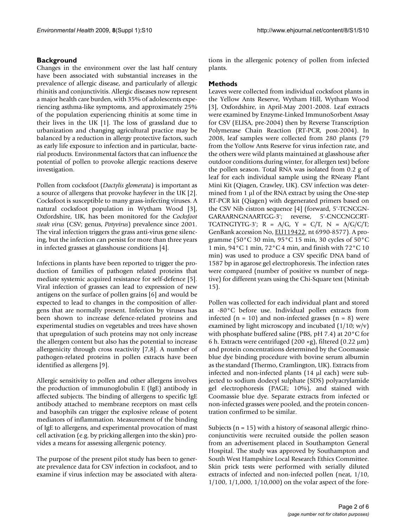#### **Background**

Changes in the environment over the last half century have been associated with substantial increases in the prevalence of allergic disease, and particularly of allergic rhinitis and conjunctivitis. Allergic diseases now represent a major health care burden, with 35% of adolescents experiencing asthma-like symptoms, and approximately 25% of the population experiencing rhinitis at some time in their lives in the UK [1]. The loss of grassland due to urbanization and changing agricultural practice may be balanced by a reduction in allergy protective factors, such as early life exposure to infection and in particular, bacterial products. Environmental factors that can influence the potential of pollen to provoke allergic reactions deserve investigation.

Pollen from cocksfoot (*Dactylis glomerata*) is important as a source of allergens that provoke hayfever in the UK [2]. Cocksfoot is susceptible to many grass-infecting viruses. A natural cocksfoot population in Wytham Wood [3], Oxfordshire, UK, has been monitored for the *Cocksfoot steak virus* (CSV; genus, *Potyvirus*) prevalence since 2001. The viral infection triggers the grass anti-virus gene silencing, but the infection can persist for more than three years in infected grasses at glasshouse conditions [4].

Infections in plants have been reported to trigger the production of families of pathogen related proteins that mediate systemic acquired resistance for self-defence [5]. Viral infection of grasses can lead to expression of new antigens on the surface of pollen grains [6] and would be expected to lead to changes in the composition of allergens that are normally present. Infection by viruses has been shown to increase defence-related proteins and experimental studies on vegetables and trees have shown that upregulation of such proteins may not only increase the allergen content but also has the potential to increase allergenicity through cross reactivity [7,8]. A number of pathogen-related proteins in pollen extracts have been identified as allergens [9].

Allergic sensitivity to pollen and other allergens involves the production of immunoglobulin E (IgE) antibody in affected subjects. The binding of allergens to specific IgE antibody attached to membrane receptors on mast cells and basophils can trigger the explosive release of potent mediators of inflammation. Measurement of the binding of IgE to allergens, and experimental provocation of mast cell activation (e.g. by pricking allergen into the skin) provides a means for assessing allergenic potency.

The purpose of the present pilot study has been to generate prevalence data for CSV infection in cocksfoot, and to examine if virus infection may be associated with alterations in the allergenic potency of pollen from infected plants.

### **Methods**

Leaves were collected from individual cocksfoot plants in the Yellow Ants Reserve, Wytham Hill, Wytham Wood [3], Oxfordshire, in April-May 2001-2008. Leaf extracts were examined by Enzyme-Linked ImmunoSorbent Assay for CSV (ELISA, pre-2004) then by Reverse Transcription Polymerase Chain Reaction (RT-PCR, post-2004). In 2008, leaf samples were collected from 280 plants (79 from the Yollow Ants Reserve for virus infection rate, and the others were wild plants maintained at glasshouse after outdoor conditions during winter, for allergen test) before the pollen season. Total RNA was isolated from 0.2 g of leaf for each individual sample using the RNeasy Plant Mini Kit (Qiagen, Crawley, UK). CSV infection was determined from 1 μl of the RNA extract by using the One-step RT-PCR kit (Qiagen) with degenerated primers based on the CSV Nib cistron sequence [4] (forward, 5'-TCNCGN-GARAARNGNAARTGG-3'; reverse, 5'-CNCCNGCRT-TCATNGTYTG-3';  $R = A/G$ ,  $Y = C/T$ ,  $N = A/G/C/T$ ; GenBank accession No, [EU119422](http://www.ncbi.nih.gov/entrez/query.fcgi?db=Nucleotide&cmd=search&term=EU119422), nt 6990-8577). A programme (50°C 30 min, 95°C 15 min, 30 cycles of 50°C 1 min, 94°C 1 min, 72°C 4 min, and finish with 72°C 10 min) was used to produce a CSV specific DNA band of 1587 bp in agarose gel electrophoresis. The infection rates were compared (number of positive vs number of negative) for different years using the Chi-Square test (Minitab 15).

Pollen was collected for each individual plant and stored at -80°C before use. Individual pollen extracts from infected ( $n = 10$ ) and non-infected grasses ( $n = 8$ ) were examined by light microscopy and incubated  $(1/10; w/v)$ with phosphate buffered saline (PBS, pH 7.4) at 20°C for 6 h. Extracts were centrifuged (200 ×g), filtered (0.22  $\mu$ m) and protein concentrations determined by the Coomassie blue dye binding procedure with bovine serum albumin as the standard (Thermo, Cramlington, UK). Extracts from infected and non-infected plants (14 μl each) were subjected to sodium dodecyl sulphate (SDS) polyacrylamide gel electrophoresis (PAGE; 10%), and stained with Coomassie blue dye. Separate extracts from infected or non-infected grasses were pooled, and the protein concentration confirmed to be similar.

Subjects ( $n = 15$ ) with a history of seasonal allergic rhinoconjunctivitis were recruited outside the pollen season from an advertisement placed in Southampton General Hospital. The study was approved by Southampton and South West Hampshire Local Research Ethics Committee. Skin prick tests were performed with serially diluted extracts of infected and non-infected pollen (neat, 1/10, 1/100, 1/1,000, 1/10,000) on the volar aspect of the fore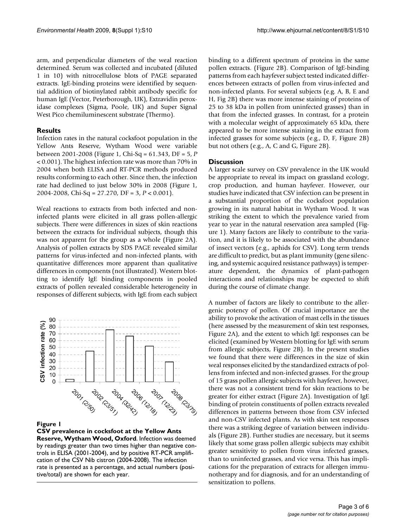arm, and perpendicular diameters of the weal reaction determined. Serum was collected and incubated (diluted 1 in 10) with nitrocellulose blots of PAGE separated extracts. IgE-binding proteins were identified by sequential addition of biotinylated rabbit antibody specific for human IgE (Vector, Peterborough, UK), Extravidin peroxidase complexes (Sigma, Poole, UK) and Super Signal West Pico chemiluminescent substrate (Thermo).

#### **Results**

Infection rates in the natural cocksfoot population in the Yellow Ants Reserve, Wytham Wood were variable between 2001-2008 (Figure 1, Chi-Sq = 61.343, DF = 5, *P* < 0.001). The highest infection rate was more than 70% in 2004 when both ELISA and RT-PCR methods produced results conforming to each other. Since then, the infection rate had declined to just below 30% in 2008 (Figure 1, 2004-2008, Chi-Sq = 27.270, DF = 3, *P* < 0.001).

Weal reactions to extracts from both infected and noninfected plants were elicited in all grass pollen-allergic subjects. There were differences in sizes of skin reactions between the extracts for individual subjects, though this was not apparent for the group as a whole (Figure 2A). Analysis of pollen extracts by SDS PAGE revealed similar patterns for virus-infected and non-infected plants, with quantitative differences more apparent than qualitative differences in components (not illustrated). Western blotting to identify IgE binding components in pooled extracts of pollen revealed considerable heterogeneity in responses of different subjects, with IgE from each subject



#### Figure 1

**CSV prevalence in cocksfoot at the Yellow Ants Reserve, Wytham Wood, Oxford**. Infection was deemed by readings greater than two times higher than negative controls in ELISA (2001-2004), and by positive RT-PCR amplification of the CSV Nib cistron (2004-2008). The infection rate is presented as a percentage, and actual numbers (positive/total) are shown for each year.

binding to a different spectrum of proteins in the same pollen extracts. (Figure 2B). Comparison of IgE-binding patterns from each hayfever subject tested indicated differences between extracts of pollen from virus-infected and non-infected plants. For several subjects (e.g. A, B, E and H, Fig 2B) there was more intense staining of proteins of 25 to 38 kDa in pollen from uninfected grasses) than in that from the infected grasses. In contrast, for a protein with a molecular weight of approximately 65 kDa, there appeared to be more intense staining in the extract from infected grasses for some subjects (e.g., D, F, Figure 2B) but not others (e.g., A, C and G, Figure 2B).

#### **Discussion**

A larger scale survey on CSV prevalence in the UK would be appropriate to reveal its impact on grassland ecology, crop production, and human hayfever. However, our studies have indicated that CSV infection can be present in a substantial proportion of the cocksfoot population growing in its natural habitat in Wytham Wood. It was striking the extent to which the prevalence varied from year to year in the natural reservation area sampled (Figure 1). Many factors are likely to contribute to the variation, and it is likely to be associated with the abundance of insect vectors (e.g., aphids for CSV). Long term trends are difficult to predict, but as plant immunity (gene silencing, and systemic acquired resistance pathways) is temperature dependent, the dynamics of plant-pathogen interactions and relationships may be expected to shift during the course of climate change.

A number of factors are likely to contribute to the allergenic potency of pollen. Of crucial importance are the ability to provoke the activation of mast cells in the tissues (here assessed by the measurement of skin test responses, Figure 2A), and the extent to which IgE responses can be elicited (examined by Western blotting for IgE with serum from allergic subjects, Figure 2B). In the present studies we found that there were differences in the size of skin weal responses elicited by the standardized extracts of pollens from infected and non-infected grasses. For the group of 15 grass pollen allergic subjects with hayfever, however, there was not a consistent trend for skin reactions to be greater for either extract (Figure 2A). Investigation of IgE binding of protein constituents of pollen extracts revealed differences in patterns between those from CSV infected and non-CSV infected plants. As with skin test responses there was a striking degree of variation between individuals (Figure 2B). Further studies are necessary, but it seems likely that some grass pollen allergic subjects may exhibit greater sensitivity to pollen from virus infected grasses, than to uninfected grasses, and vice versa. This has implications for the preparation of extracts for allergen immunotherapy and for diagnosis, and for an understanding of sensitization to pollens.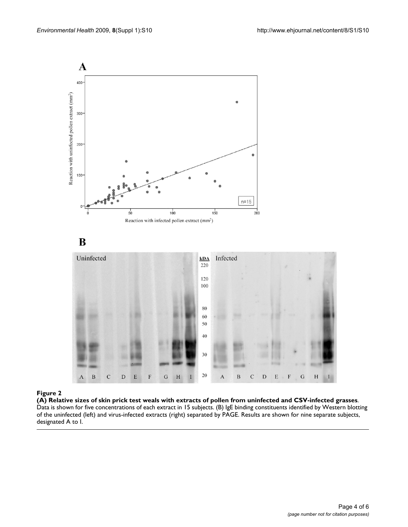

(A) Relative sizes of skin prick test **Figure 2** weals with extracts of pollen from uninfected and CSV-infected grasses **(A) Relative sizes of skin prick test weals with extracts of pollen from uninfected and CSV-infected grasses**. Data is shown for five concentrations of each extract in 15 subjects. (B) IgE binding constituents identified by Western blotting of the uninfected (left) and virus-infected extracts (right) separated by PAGE. Results are shown for nine separate subjects, designated A to I.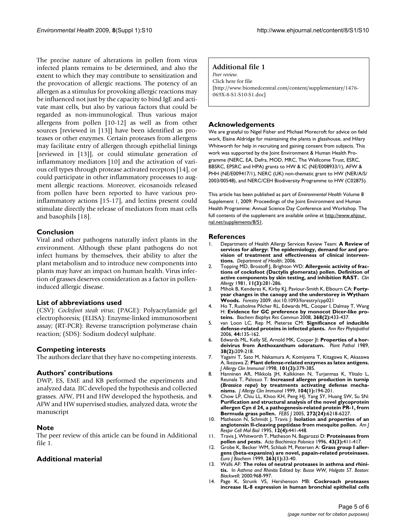The precise nature of alterations in pollen from virus infected plants remains to be determined, and also the extent to which they may contribute to sensitization and the provocation of allergic reactions. The potency of an allergen as a stimulus for provoking allergic reactions may be influenced not just by the capacity to bind IgE and activate mast cells, but also by various factors that could be regarded as non-immunological. Thus various major allergens from pollen [10-12] as well as from other sources [reviewed in [13]] have been identified as proteases or other enzymes. Certain proteases from allergens may facilitate entry of allergen through epithelial linings [reviewed in [13]], or could stimulate generation of inflammatory mediators [10] and the activation of various cell types through protease activated receptors [14], or could participate in other inflammatory processes to augment allergic reactions. Moreover, eicosanoids released from pollen have been reported to have various proinflammatory actions [15-17], and lectins present could stimulate directly the release of mediators from mast cells and basophils [18].

#### **Conclusion**

Viral and other pathogens naturally infect plants in the environment. Although these plant pathogens do not infect humans by themselves, their ability to alter the plant metabolism and to introduce new components into plants may have an impact on human health. Virus infection of grasses deserves consideration as a factor in polleninduced allergic disease.

#### **List of abbreviations used**

(CSV): *Cocksfoot steak virus*; (PAGE): Polyacrylamide gel electrophoresis; (ELISA): Enzyme-linked immunosorbent assay; (RT-PCR): Reverse transcription polymerase chain reaction; (SDS): Sodium dodecyl sulphate.

#### **Competing interests**

The authors declare that they have no competing interests.

#### **Authors' contributions**

DWP, ES, EME and KB performed the experiments and analyzed data. JIC developed the hypothesis and collected grasses. AFW, PH and HW developed the hypothesis, and AFW and HW supervised studies, analyzed data, wrote the manuscript

#### **Note**

The peer review of this article can be found in Additional file 1.

### **Additional material**

#### **Additional file 1**

*Peer review.* Click here for file [\[http://www.biomedcentral.com/content/supplementary/1476-](http://www.biomedcentral.com/content/supplementary/1476-069X-8-S1-S10-S1.doc) 069X-8-S1-S10-S1.doc]

#### **Acknowledgements**

We are grateful to Nigel Fisher and Michael Morecroft for advice on field work, Elaine Aldridge for maintaining the plants in glasshouse, and Hilary Whitworth for help in recruiting and gaining consent from subjects. This work was supported by the Joint Environment & Human Health Programme (NERC, EA, Defra, MOD, MRC, The Wellcome Trust, ESRC, BBSRC, EPSRC and HPA) grants to HW & IC (NE/E008933/1), AFW & PHH (NE/E009417/1), NERC (UK) non-thematic grant to HW (NER/A/S/ 2003/00548), and NERC/CEH Biodiversity Programme to HW (C02875).

This article has been published as part of *Environmental Health* Volume 8 Supplement 1, 2009: Proceedings of the Joint Environment and Human Health Programme: Annual Science Day Conference and Workshop. The full contents of the supplement are available online at http://www.ehjour [nal.net/supplements/8/S1](http://www.ehjournal.net/supplements/8/S1).

#### **References**

- 1. Department of Health Allergy Services Review Team: **A Review of services for allergy: The epidemiology, demand for and provision of treatment and effectiveness of clinical interventions.** *Department of Health*; 2006.
- 2. Topping MD, Brostoff J, Brighton WD: **[Allergenic activity of frac](http://www.ncbi.nlm.nih.gov/entrez/query.fcgi?cmd=Retrieve&db=PubMed&dopt=Abstract&list_uids=7249343)[tions of cocksfoot \(Dactylis glomerata\) pollen. Definition of](http://www.ncbi.nlm.nih.gov/entrez/query.fcgi?cmd=Retrieve&db=PubMed&dopt=Abstract&list_uids=7249343) [active components by skin testing, and inhibition RAST.](http://www.ncbi.nlm.nih.gov/entrez/query.fcgi?cmd=Retrieve&db=PubMed&dopt=Abstract&list_uids=7249343)** *Clin Allergy* 1981, **11(3):**281-286.
- 3. Mihok B, Kenderes K, Kirby KJ, Paviour-Smith K, Elbourn CA: **Fortyyear changes in the canopy and the understorey in Wytham Woods.** *Forestry* 2009. doi:10.1093/forestry/cpp021
- 4. Ho T, Rusholme Pilcher RL, Edwards ML, Cooper I, Dalmay T, Wang H: **[Evidence for GC preference by monocot Dicer-like pro](http://www.ncbi.nlm.nih.gov/entrez/query.fcgi?cmd=Retrieve&db=PubMed&dopt=Abstract&list_uids=18243131)[teins.](http://www.ncbi.nlm.nih.gov/entrez/query.fcgi?cmd=Retrieve&db=PubMed&dopt=Abstract&list_uids=18243131)** *Biochem Biophys Res Commun* 2008, **368(2):**433-437.
- 5. van Loon LC, Rep M, Pieterse CM: **Significance of inducible defense-related proteins in infected plants.** *Ann Rev Phytopathol* 2006, **44:**135-162.
- 6. Edwards ML, Kelly SE, Arnold MK, Cooper JI: **Properties of a hordeivirus from Anthoxanthum odoratum.** *Plant Pathol* 1989, **38(2):**209-218.
- 7. Yagami T, Sato M, Nakamura A, Komiyama T, Kitagawa K, Akasawa A, Ikezawa Z: **[Plant defense-related enzymes as latex antigens.](http://www.ncbi.nlm.nih.gov/entrez/query.fcgi?cmd=Retrieve&db=PubMed&dopt=Abstract&list_uids=9525455)** *J Allergy Clin Immunol* 1998, **101(3):**379-385.
- 8. Hanninen AR, Mikkola JH, Kalkkinen N, Turjanmaa K, Ylitalo L, Reunala T, Palosuo T: **Increased allergen production in turnip (***Brassica rapa***[\) by treatments activating defense mecha](http://www.ncbi.nlm.nih.gov/entrez/query.fcgi?cmd=Retrieve&db=PubMed&dopt=Abstract&list_uids=10400861)[nisms.](http://www.ncbi.nlm.nih.gov/entrez/query.fcgi?cmd=Retrieve&db=PubMed&dopt=Abstract&list_uids=10400861)** *J Allergy Clin Immunol* 1999, **104(1):**194-201.
- 9. Chow LP, Chiu LL, Khoo KH, Peng HJ, Yang SY, Huang SW, Su SN: **[Purification and structural analysis of the novel glycoprotein](http://www.ncbi.nlm.nih.gov/entrez/query.fcgi?cmd=Retrieve&db=PubMed&dopt=Abstract&list_uids=16336260) allergen Cyn d 24, a pathogenesis-related protein PR-1, from [Bermuda grass pollen.](http://www.ncbi.nlm.nih.gov/entrez/query.fcgi?cmd=Retrieve&db=PubMed&dopt=Abstract&list_uids=16336260)** *FEBS J* 2005, **272(24):**6218-6227.
- 10. Matheson N, Schmidt J, Travis J: **[Isolation and properties of an](http://www.ncbi.nlm.nih.gov/entrez/query.fcgi?cmd=Retrieve&db=PubMed&dopt=Abstract&list_uids=7695924) [angiotensin II-cleaving peptidase from mesquite pollen.](http://www.ncbi.nlm.nih.gov/entrez/query.fcgi?cmd=Retrieve&db=PubMed&dopt=Abstract&list_uids=7695924)** *Am J Respir Cell Mol Biol* 1995, **12(4):**441-448.
- 11. Travis J, Whitworth T, Matheson N, Bagarozzi D: **[Proteinases from](http://www.ncbi.nlm.nih.gov/entrez/query.fcgi?cmd=Retrieve&db=PubMed&dopt=Abstract&list_uids=8922023) [pollen and pests.](http://www.ncbi.nlm.nih.gov/entrez/query.fcgi?cmd=Retrieve&db=PubMed&dopt=Abstract&list_uids=8922023)** *Acta Biochimica Polonica* 1996, **43(3):**411-417.
- 12. Grobe K, Becker WM, Schlaak M, Petersen A: **Grass group I allergens (beta-expansins) are novel, papain-related proteinases.** *Euro J Biochem* 1999, **263(1):**33-40.
- 13. Walls AF: **The roles of neutral proteases in asthma and rhinitis.** In *Asthma and Rhinitis* Edited by: *Busse WW, Holgate ST*. *Boston: Blackwell*; 2000:968-997.
- 14. Page K, Strunk VS, Hershenson MB: **[Cockroach proteases](http://www.ncbi.nlm.nih.gov/entrez/query.fcgi?cmd=Retrieve&db=PubMed&dopt=Abstract&list_uids=14657869) [increase IL-8 expression in human bronchial epithelial cells](http://www.ncbi.nlm.nih.gov/entrez/query.fcgi?cmd=Retrieve&db=PubMed&dopt=Abstract&list_uids=14657869)**